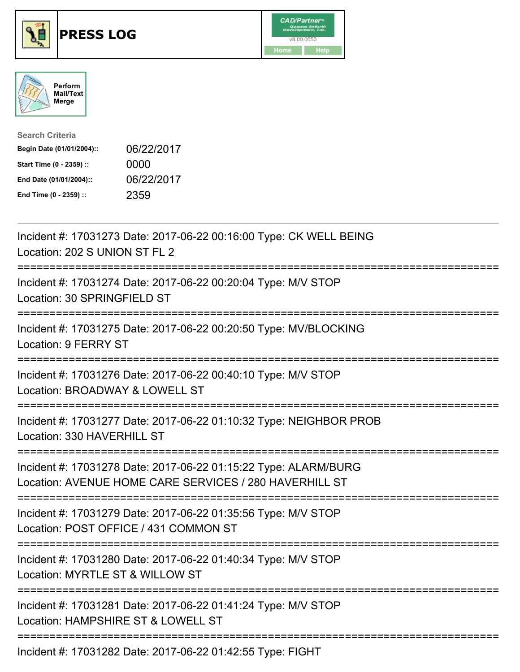





| <b>Search Criteria</b>    |            |
|---------------------------|------------|
| Begin Date (01/01/2004):: | 06/22/2017 |
| Start Time (0 - 2359) ::  | 0000       |
| End Date (01/01/2004)::   | 06/22/2017 |
| End Time (0 - 2359) ::    | 2359       |

| Incident #: 17031273 Date: 2017-06-22 00:16:00 Type: CK WELL BEING<br>Location: 202 S UNION ST FL 2                            |
|--------------------------------------------------------------------------------------------------------------------------------|
| Incident #: 17031274 Date: 2017-06-22 00:20:04 Type: M/V STOP<br>Location: 30 SPRINGFIELD ST                                   |
| Incident #: 17031275 Date: 2017-06-22 00:20:50 Type: MV/BLOCKING<br>Location: 9 FERRY ST                                       |
| Incident #: 17031276 Date: 2017-06-22 00:40:10 Type: M/V STOP<br>Location: BROADWAY & LOWELL ST                                |
| Incident #: 17031277 Date: 2017-06-22 01:10:32 Type: NEIGHBOR PROB<br>Location: 330 HAVERHILL ST<br>-------------              |
| Incident #: 17031278 Date: 2017-06-22 01:15:22 Type: ALARM/BURG<br>Location: AVENUE HOME CARE SERVICES / 280 HAVERHILL ST      |
| Incident #: 17031279 Date: 2017-06-22 01:35:56 Type: M/V STOP<br>Location: POST OFFICE / 431 COMMON ST                         |
| Incident #: 17031280 Date: 2017-06-22 01:40:34 Type: M/V STOP<br>Location: MYRTLE ST & WILLOW ST<br>========================== |
| Incident #: 17031281 Date: 2017-06-22 01:41:24 Type: M/V STOP<br>Location: HAMPSHIRE ST & LOWELL ST                            |
| Incident #: 17031282 Date: 2017-06-22 01:42:55 Type: FIGHT                                                                     |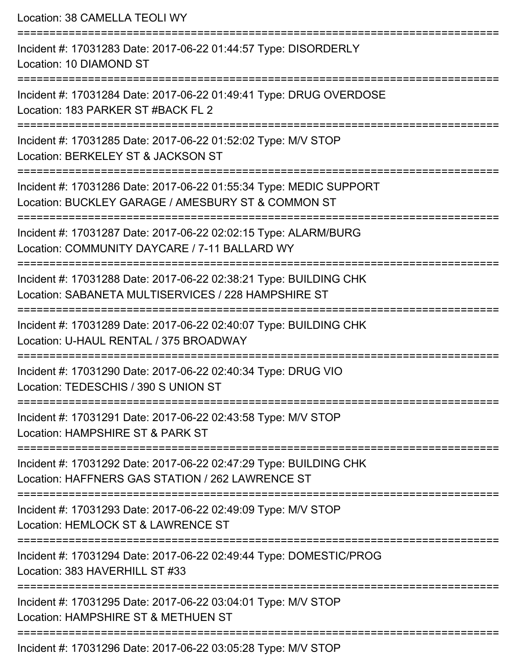Location: 38 CAMELLA TEOLI WY =========================================================================== Incident #: 17031283 Date: 2017-06-22 01:44:57 Type: DISORDERLY Location: 10 DIAMOND ST =========================================================================== Incident #: 17031284 Date: 2017-06-22 01:49:41 Type: DRUG OVERDOSE Location: 183 PARKER ST #BACK FL 2 =========================================================================== Incident #: 17031285 Date: 2017-06-22 01:52:02 Type: M/V STOP Location: BERKELEY ST & JACKSON ST =========================================================================== Incident #: 17031286 Date: 2017-06-22 01:55:34 Type: MEDIC SUPPORT Location: BUCKLEY GARAGE / AMESBURY ST & COMMON ST =========================================================================== Incident #: 17031287 Date: 2017-06-22 02:02:15 Type: ALARM/BURG Location: COMMUNITY DAYCARE / 7-11 BALLARD WY =========================================================================== Incident #: 17031288 Date: 2017-06-22 02:38:21 Type: BUILDING CHK Location: SABANETA MULTISERVICES / 228 HAMPSHIRE ST =========================================================================== Incident #: 17031289 Date: 2017-06-22 02:40:07 Type: BUILDING CHK Location: U-HAUL RENTAL / 375 BROADWAY =========================================================================== Incident #: 17031290 Date: 2017-06-22 02:40:34 Type: DRUG VIO Location: TEDESCHIS / 390 S UNION ST =========================================================================== Incident #: 17031291 Date: 2017-06-22 02:43:58 Type: M/V STOP Location: HAMPSHIRE ST & PARK ST =========================================================================== Incident #: 17031292 Date: 2017-06-22 02:47:29 Type: BUILDING CHK Location: HAFFNERS GAS STATION / 262 LAWRENCE ST =========================================================================== Incident #: 17031293 Date: 2017-06-22 02:49:09 Type: M/V STOP Location: HEMLOCK ST & LAWRENCE ST =========================================================================== Incident #: 17031294 Date: 2017-06-22 02:49:44 Type: DOMESTIC/PROG Location: 383 HAVERHILL ST #33 =========================================================================== Incident #: 17031295 Date: 2017-06-22 03:04:01 Type: M/V STOP Location: HAMPSHIRE ST & METHUEN ST =========================================================================== Incident #: 17031296 Date: 2017-06-22 03:05:28 Type: M/V STOP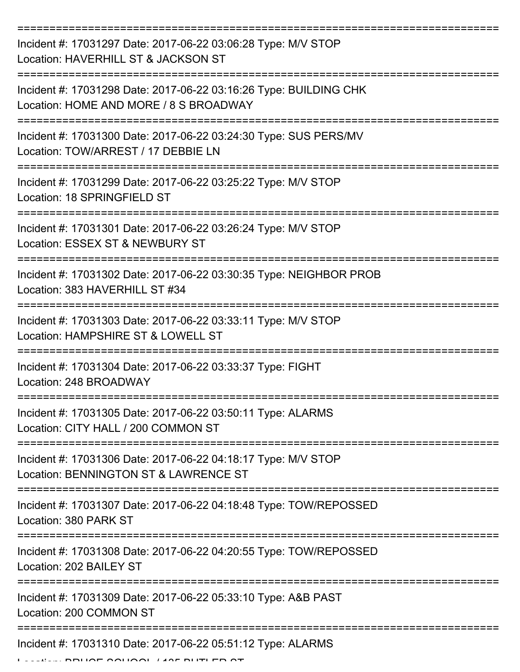| Incident #: 17031297 Date: 2017-06-22 03:06:28 Type: M/V STOP<br>Location: HAVERHILL ST & JACKSON ST        |
|-------------------------------------------------------------------------------------------------------------|
| Incident #: 17031298 Date: 2017-06-22 03:16:26 Type: BUILDING CHK<br>Location: HOME AND MORE / 8 S BROADWAY |
| Incident #: 17031300 Date: 2017-06-22 03:24:30 Type: SUS PERS/MV<br>Location: TOW/ARREST / 17 DEBBIE LN     |
| Incident #: 17031299 Date: 2017-06-22 03:25:22 Type: M/V STOP<br>Location: 18 SPRINGFIELD ST                |
| Incident #: 17031301 Date: 2017-06-22 03:26:24 Type: M/V STOP<br>Location: ESSEX ST & NEWBURY ST            |
| Incident #: 17031302 Date: 2017-06-22 03:30:35 Type: NEIGHBOR PROB<br>Location: 383 HAVERHILL ST #34        |
| Incident #: 17031303 Date: 2017-06-22 03:33:11 Type: M/V STOP<br>Location: HAMPSHIRE ST & LOWELL ST         |
| Incident #: 17031304 Date: 2017-06-22 03:33:37 Type: FIGHT<br>Location: 248 BROADWAY                        |
| Incident #: 17031305 Date: 2017-06-22 03:50:11 Type: ALARMS<br>Location: CITY HALL / 200 COMMON ST          |
| Incident #: 17031306 Date: 2017-06-22 04:18:17 Type: M/V STOP<br>Location: BENNINGTON ST & LAWRENCE ST      |
| Incident #: 17031307 Date: 2017-06-22 04:18:48 Type: TOW/REPOSSED<br>Location: 380 PARK ST                  |
| Incident #: 17031308 Date: 2017-06-22 04:20:55 Type: TOW/REPOSSED<br>Location: 202 BAILEY ST                |
| Incident #: 17031309 Date: 2017-06-22 05:33:10 Type: A&B PAST<br>Location: 200 COMMON ST                    |
| Incident #: 17031310 Date: 2017-06-22 05:51:12 Type: ALARMS                                                 |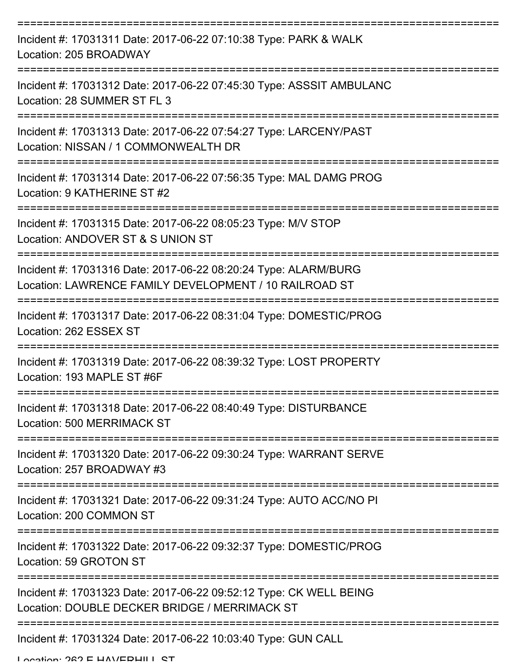| Incident #: 17031311 Date: 2017-06-22 07:10:38 Type: PARK & WALK<br>Location: 205 BROADWAY                                |
|---------------------------------------------------------------------------------------------------------------------------|
| Incident #: 17031312 Date: 2017-06-22 07:45:30 Type: ASSSIT AMBULANC<br>Location: 28 SUMMER ST FL 3                       |
| Incident #: 17031313 Date: 2017-06-22 07:54:27 Type: LARCENY/PAST<br>Location: NISSAN / 1 COMMONWEALTH DR                 |
| Incident #: 17031314 Date: 2017-06-22 07:56:35 Type: MAL DAMG PROG<br>Location: 9 KATHERINE ST #2                         |
| Incident #: 17031315 Date: 2017-06-22 08:05:23 Type: M/V STOP<br>Location: ANDOVER ST & S UNION ST                        |
| Incident #: 17031316 Date: 2017-06-22 08:20:24 Type: ALARM/BURG<br>Location: LAWRENCE FAMILY DEVELOPMENT / 10 RAILROAD ST |
| Incident #: 17031317 Date: 2017-06-22 08:31:04 Type: DOMESTIC/PROG<br>Location: 262 ESSEX ST                              |
| Incident #: 17031319 Date: 2017-06-22 08:39:32 Type: LOST PROPERTY<br>Location: 193 MAPLE ST #6F                          |
| Incident #: 17031318 Date: 2017-06-22 08:40:49 Type: DISTURBANCE<br>Location: 500 MERRIMACK ST                            |
| Incident #: 17031320 Date: 2017-06-22 09:30:24 Type: WARRANT SERVE<br>Location: 257 BROADWAY #3                           |
| Incident #: 17031321 Date: 2017-06-22 09:31:24 Type: AUTO ACC/NO PI<br>Location: 200 COMMON ST                            |
| Incident #: 17031322 Date: 2017-06-22 09:32:37 Type: DOMESTIC/PROG<br>Location: 59 GROTON ST                              |
| Incident #: 17031323 Date: 2017-06-22 09:52:12 Type: CK WELL BEING<br>Location: DOUBLE DECKER BRIDGE / MERRIMACK ST       |
| ---------------------------<br>Incident #: 17031324 Date: 2017-06-22 10:03:40 Type: GUN CALL                              |

Location: 262 E HAVEDHILL CT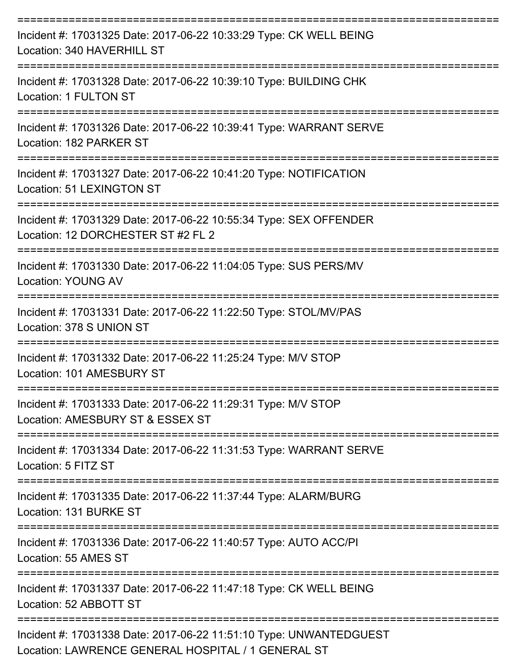| Incident #: 17031325 Date: 2017-06-22 10:33:29 Type: CK WELL BEING<br>Location: 340 HAVERHILL ST                                  |
|-----------------------------------------------------------------------------------------------------------------------------------|
| Incident #: 17031328 Date: 2017-06-22 10:39:10 Type: BUILDING CHK<br>Location: 1 FULTON ST                                        |
| Incident #: 17031326 Date: 2017-06-22 10:39:41 Type: WARRANT SERVE<br>Location: 182 PARKER ST                                     |
| Incident #: 17031327 Date: 2017-06-22 10:41:20 Type: NOTIFICATION<br>Location: 51 LEXINGTON ST                                    |
| Incident #: 17031329 Date: 2017-06-22 10:55:34 Type: SEX OFFENDER<br>Location: 12 DORCHESTER ST #2 FL 2                           |
| Incident #: 17031330 Date: 2017-06-22 11:04:05 Type: SUS PERS/MV<br><b>Location: YOUNG AV</b>                                     |
| ---------------------------------<br>Incident #: 17031331 Date: 2017-06-22 11:22:50 Type: STOL/MV/PAS<br>Location: 378 S UNION ST |
| Incident #: 17031332 Date: 2017-06-22 11:25:24 Type: M/V STOP<br>Location: 101 AMESBURY ST                                        |
| Incident #: 17031333 Date: 2017-06-22 11:29:31 Type: M/V STOP<br>Location: AMESBURY ST & ESSEX ST                                 |
| Incident #: 17031334 Date: 2017-06-22 11:31:53 Type: WARRANT SERVE<br>Location: 5 FITZ ST                                         |
| Incident #: 17031335 Date: 2017-06-22 11:37:44 Type: ALARM/BURG<br>Location: 131 BURKE ST                                         |
| Incident #: 17031336 Date: 2017-06-22 11:40:57 Type: AUTO ACC/PI<br>Location: 55 AMES ST                                          |
| Incident #: 17031337 Date: 2017-06-22 11:47:18 Type: CK WELL BEING<br>Location: 52 ABBOTT ST                                      |
| Incident #: 17031338 Date: 2017-06-22 11:51:10 Type: UNWANTEDGUEST<br>Location: LAWRENCE GENERAL HOSPITAL / 1 GENERAL ST          |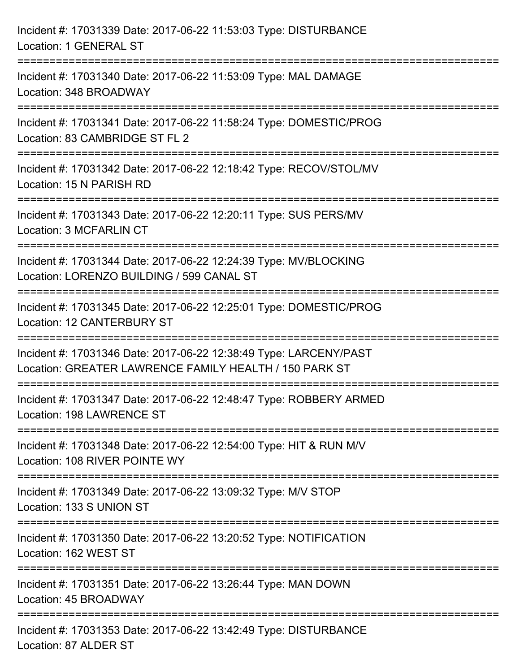| Incident #: 17031339 Date: 2017-06-22 11:53:03 Type: DISTURBANCE<br>Location: 1 GENERAL ST                                  |
|-----------------------------------------------------------------------------------------------------------------------------|
| Incident #: 17031340 Date: 2017-06-22 11:53:09 Type: MAL DAMAGE<br>Location: 348 BROADWAY                                   |
| Incident #: 17031341 Date: 2017-06-22 11:58:24 Type: DOMESTIC/PROG<br>Location: 83 CAMBRIDGE ST FL 2                        |
| Incident #: 17031342 Date: 2017-06-22 12:18:42 Type: RECOV/STOL/MV<br>Location: 15 N PARISH RD                              |
| Incident #: 17031343 Date: 2017-06-22 12:20:11 Type: SUS PERS/MV<br><b>Location: 3 MCFARLIN CT</b>                          |
| Incident #: 17031344 Date: 2017-06-22 12:24:39 Type: MV/BLOCKING<br>Location: LORENZO BUILDING / 599 CANAL ST               |
| Incident #: 17031345 Date: 2017-06-22 12:25:01 Type: DOMESTIC/PROG<br>Location: 12 CANTERBURY ST                            |
| Incident #: 17031346 Date: 2017-06-22 12:38:49 Type: LARCENY/PAST<br>Location: GREATER LAWRENCE FAMILY HEALTH / 150 PARK ST |
| Incident #: 17031347 Date: 2017-06-22 12:48:47 Type: ROBBERY ARMED<br>Location: 198 LAWRENCE ST                             |
| Incident #: 17031348 Date: 2017-06-22 12:54:00 Type: HIT & RUN M/V<br>Location: 108 RIVER POINTE WY                         |
| Incident #: 17031349 Date: 2017-06-22 13:09:32 Type: M/V STOP<br>Location: 133 S UNION ST                                   |
| Incident #: 17031350 Date: 2017-06-22 13:20:52 Type: NOTIFICATION<br>Location: 162 WEST ST                                  |
| Incident #: 17031351 Date: 2017-06-22 13:26:44 Type: MAN DOWN<br>Location: 45 BROADWAY                                      |
| Incident #: 17031353 Date: 2017-06-22 13:42:49 Type: DISTURBANCE<br>Location: 87 ALDER ST                                   |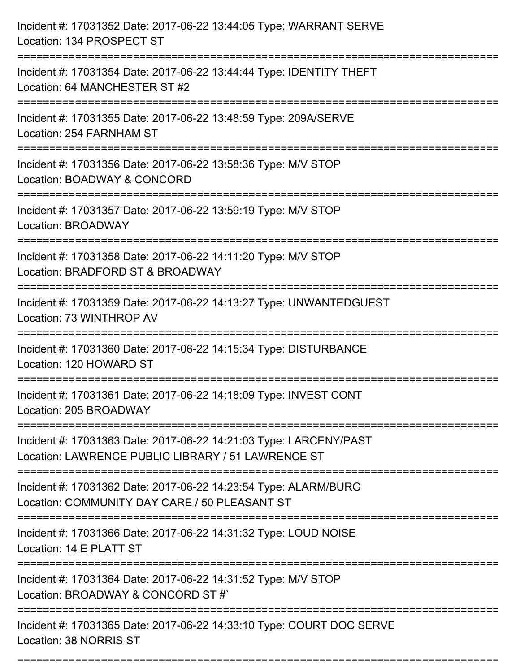| Incident #: 17031352 Date: 2017-06-22 13:44:05 Type: WARRANT SERVE<br>Location: 134 PROSPECT ST                                                     |
|-----------------------------------------------------------------------------------------------------------------------------------------------------|
| Incident #: 17031354 Date: 2017-06-22 13:44:44 Type: IDENTITY THEFT<br>Location: 64 MANCHESTER ST #2                                                |
| Incident #: 17031355 Date: 2017-06-22 13:48:59 Type: 209A/SERVE<br>Location: 254 FARNHAM ST                                                         |
| Incident #: 17031356 Date: 2017-06-22 13:58:36 Type: M/V STOP<br>Location: BOADWAY & CONCORD                                                        |
| Incident #: 17031357 Date: 2017-06-22 13:59:19 Type: M/V STOP<br>Location: BROADWAY<br>-----------------------------                                |
| Incident #: 17031358 Date: 2017-06-22 14:11:20 Type: M/V STOP<br>Location: BRADFORD ST & BROADWAY                                                   |
| Incident #: 17031359 Date: 2017-06-22 14:13:27 Type: UNWANTEDGUEST<br>Location: 73 WINTHROP AV<br>=================================                 |
| Incident #: 17031360 Date: 2017-06-22 14:15:34 Type: DISTURBANCE<br>Location: 120 HOWARD ST                                                         |
| Incident #: 17031361 Date: 2017-06-22 14:18:09 Type: INVEST CONT<br>Location: 205 BROADWAY<br>======================                                |
| Incident #: 17031363 Date: 2017-06-22 14:21:03 Type: LARCENY/PAST<br>Location: LAWRENCE PUBLIC LIBRARY / 51 LAWRENCE ST                             |
| Incident #: 17031362 Date: 2017-06-22 14:23:54 Type: ALARM/BURG<br>Location: COMMUNITY DAY CARE / 50 PLEASANT ST<br>=============================== |
| Incident #: 17031366 Date: 2017-06-22 14:31:32 Type: LOUD NOISE<br>Location: 14 E PLATT ST                                                          |
| Incident #: 17031364 Date: 2017-06-22 14:31:52 Type: M/V STOP<br>Location: BROADWAY & CONCORD ST#`                                                  |
| Incident #: 17031365 Date: 2017-06-22 14:33:10 Type: COURT DOC SERVE<br>Location: 38 NORRIS ST                                                      |

===========================================================================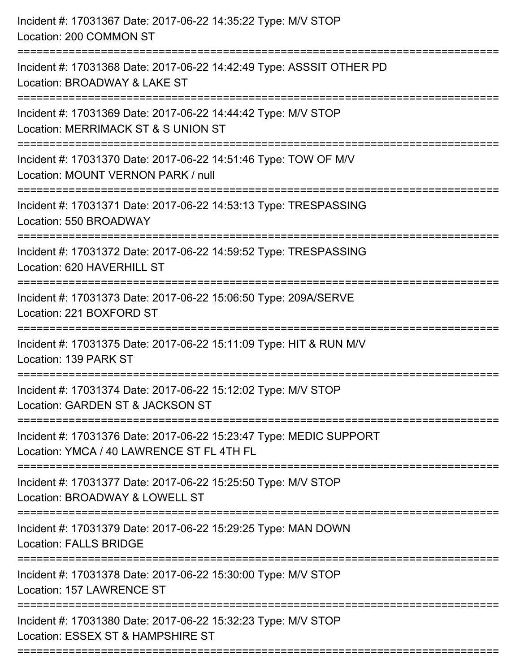| Incident #: 17031367 Date: 2017-06-22 14:35:22 Type: M/V STOP<br>Location: 200 COMMON ST                                                |
|-----------------------------------------------------------------------------------------------------------------------------------------|
| Incident #: 17031368 Date: 2017-06-22 14:42:49 Type: ASSSIT OTHER PD<br>Location: BROADWAY & LAKE ST                                    |
| Incident #: 17031369 Date: 2017-06-22 14:44:42 Type: M/V STOP<br>Location: MERRIMACK ST & S UNION ST<br>=====================           |
| Incident #: 17031370 Date: 2017-06-22 14:51:46 Type: TOW OF M/V<br>Location: MOUNT VERNON PARK / null<br>=========================      |
| Incident #: 17031371 Date: 2017-06-22 14:53:13 Type: TRESPASSING<br>Location: 550 BROADWAY                                              |
| Incident #: 17031372 Date: 2017-06-22 14:59:52 Type: TRESPASSING<br>Location: 620 HAVERHILL ST<br>:==================================== |
| Incident #: 17031373 Date: 2017-06-22 15:06:50 Type: 209A/SERVE<br>Location: 221 BOXFORD ST                                             |
| Incident #: 17031375 Date: 2017-06-22 15:11:09 Type: HIT & RUN M/V<br>Location: 139 PARK ST                                             |
| Incident #: 17031374 Date: 2017-06-22 15:12:02 Type: M/V STOP<br>Location: GARDEN ST & JACKSON ST                                       |
| Incident #: 17031376 Date: 2017-06-22 15:23:47 Type: MEDIC SUPPORT<br>Location: YMCA / 40 LAWRENCE ST FL 4TH FL                         |
| Incident #: 17031377 Date: 2017-06-22 15:25:50 Type: M/V STOP<br>Location: BROADWAY & LOWELL ST                                         |
| Incident #: 17031379 Date: 2017-06-22 15:29:25 Type: MAN DOWN<br><b>Location: FALLS BRIDGE</b>                                          |
| Incident #: 17031378 Date: 2017-06-22 15:30:00 Type: M/V STOP<br>Location: 157 LAWRENCE ST                                              |
| Incident #: 17031380 Date: 2017-06-22 15:32:23 Type: M/V STOP<br>Location: ESSEX ST & HAMPSHIRE ST                                      |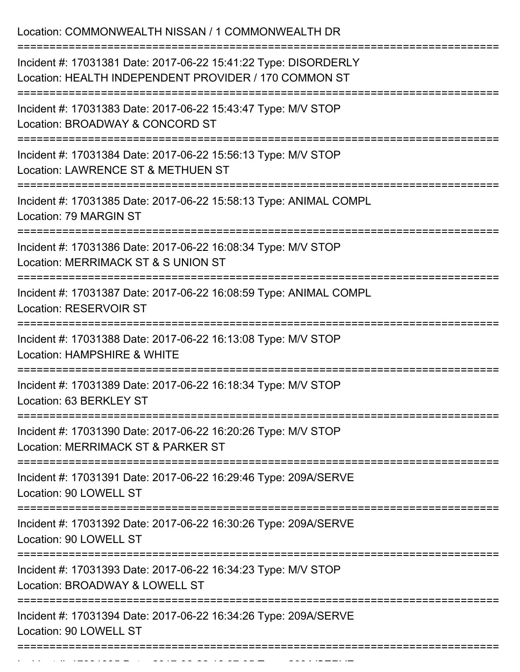| Location: COMMONWEALTH NISSAN / 1 COMMONWEALTH DR                                                                                    |
|--------------------------------------------------------------------------------------------------------------------------------------|
| Incident #: 17031381 Date: 2017-06-22 15:41:22 Type: DISORDERLY<br>Location: HEALTH INDEPENDENT PROVIDER / 170 COMMON ST             |
| Incident #: 17031383 Date: 2017-06-22 15:43:47 Type: M/V STOP<br>Location: BROADWAY & CONCORD ST                                     |
| Incident #: 17031384 Date: 2017-06-22 15:56:13 Type: M/V STOP<br>Location: LAWRENCE ST & METHUEN ST                                  |
| Incident #: 17031385 Date: 2017-06-22 15:58:13 Type: ANIMAL COMPL<br>Location: 79 MARGIN ST                                          |
| Incident #: 17031386 Date: 2017-06-22 16:08:34 Type: M/V STOP<br>Location: MERRIMACK ST & S UNION ST                                 |
| Incident #: 17031387 Date: 2017-06-22 16:08:59 Type: ANIMAL COMPL<br><b>Location: RESERVOIR ST</b>                                   |
| Incident #: 17031388 Date: 2017-06-22 16:13:08 Type: M/V STOP<br>Location: HAMPSHIRE & WHITE                                         |
| Incident #: 17031389 Date: 2017-06-22 16:18:34 Type: M/V STOP<br>Location: 63 BERKLEY ST<br>===================================      |
| =============================<br>Incident #: 17031390 Date: 2017-06-22 16:20:26 Type: M/V STOP<br>Location: MERRIMACK ST & PARKER ST |
| Incident #: 17031391 Date: 2017-06-22 16:29:46 Type: 209A/SERVE<br>Location: 90 LOWELL ST                                            |
| Incident #: 17031392 Date: 2017-06-22 16:30:26 Type: 209A/SERVE<br>Location: 90 LOWELL ST                                            |
| Incident #: 17031393 Date: 2017-06-22 16:34:23 Type: M/V STOP<br>Location: BROADWAY & LOWELL ST                                      |
| Incident #: 17031394 Date: 2017-06-22 16:34:26 Type: 209A/SERVE<br>Location: 90 LOWELL ST                                            |
|                                                                                                                                      |

Incident #: 17031395 Date: 2017 06 22 16:37:05 Type: 209A/SERVE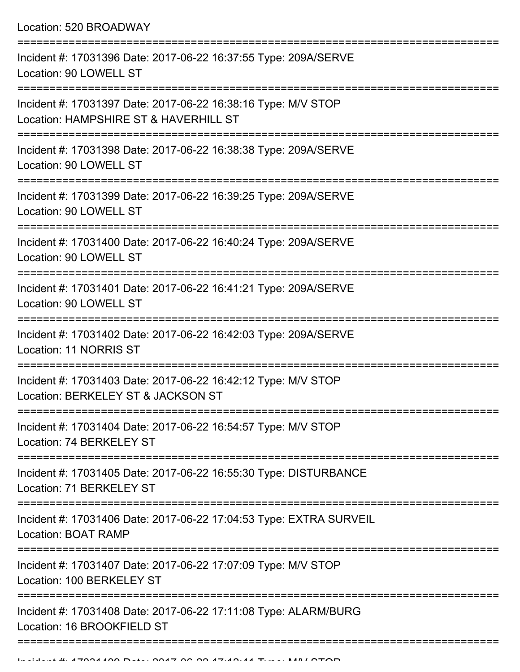Location: 520 BROADWAY

| Incident #: 17031396 Date: 2017-06-22 16:37:55 Type: 209A/SERVE<br>Location: 90 LOWELL ST                               |
|-------------------------------------------------------------------------------------------------------------------------|
| Incident #: 17031397 Date: 2017-06-22 16:38:16 Type: M/V STOP<br>Location: HAMPSHIRE ST & HAVERHILL ST                  |
| Incident #: 17031398 Date: 2017-06-22 16:38:38 Type: 209A/SERVE<br>Location: 90 LOWELL ST                               |
| Incident #: 17031399 Date: 2017-06-22 16:39:25 Type: 209A/SERVE<br>Location: 90 LOWELL ST                               |
| Incident #: 17031400 Date: 2017-06-22 16:40:24 Type: 209A/SERVE<br>Location: 90 LOWELL ST                               |
| Incident #: 17031401 Date: 2017-06-22 16:41:21 Type: 209A/SERVE<br>Location: 90 LOWELL ST                               |
| Incident #: 17031402 Date: 2017-06-22 16:42:03 Type: 209A/SERVE<br><b>Location: 11 NORRIS ST</b>                        |
| Incident #: 17031403 Date: 2017-06-22 16:42:12 Type: M/V STOP<br>Location: BERKELEY ST & JACKSON ST                     |
| Incident #: 17031404 Date: 2017-06-22 16:54:57 Type: M/V STOP<br>Location: 74 BERKELEY ST                               |
| -------------<br>Incident #: 17031405 Date: 2017-06-22 16:55:30 Type: DISTURBANCE<br>Location: 71 BERKELEY ST           |
| --------------------------<br>Incident #: 17031406 Date: 2017-06-22 17:04:53 Type: EXTRA SURVEIL<br>Location: BOAT RAMP |
| Incident #: 17031407 Date: 2017-06-22 17:07:09 Type: M/V STOP<br>Location: 100 BERKELEY ST                              |
| Incident #: 17031408 Date: 2017-06-22 17:11:08 Type: ALARM/BURG<br>Location: 16 BROOKFIELD ST                           |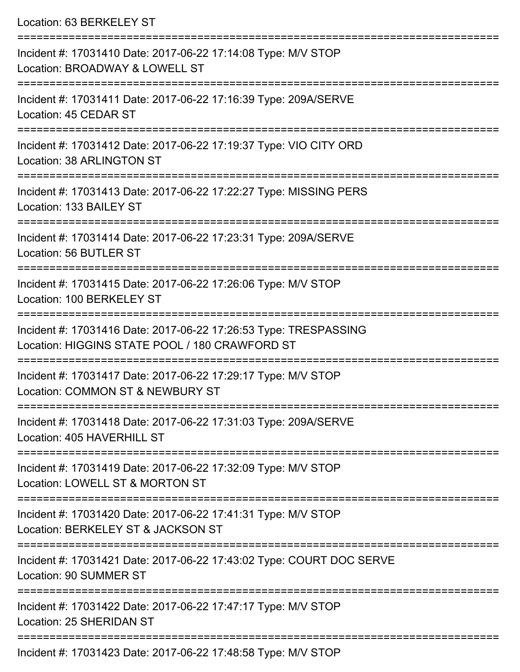Location: 63 BERKELEY ST

| Incident #: 17031410 Date: 2017-06-22 17:14:08 Type: M/V STOP<br>Location: BROADWAY & LOWELL ST                    |
|--------------------------------------------------------------------------------------------------------------------|
| Incident #: 17031411 Date: 2017-06-22 17:16:39 Type: 209A/SERVE<br>Location: 45 CEDAR ST                           |
| Incident #: 17031412 Date: 2017-06-22 17:19:37 Type: VIO CITY ORD<br>Location: 38 ARLINGTON ST                     |
| Incident #: 17031413 Date: 2017-06-22 17:22:27 Type: MISSING PERS<br>Location: 133 BAILEY ST                       |
| Incident #: 17031414 Date: 2017-06-22 17:23:31 Type: 209A/SERVE<br>Location: 56 BUTLER ST                          |
| Incident #: 17031415 Date: 2017-06-22 17:26:06 Type: M/V STOP<br>Location: 100 BERKELEY ST                         |
| Incident #: 17031416 Date: 2017-06-22 17:26:53 Type: TRESPASSING<br>Location: HIGGINS STATE POOL / 180 CRAWFORD ST |
| Incident #: 17031417 Date: 2017-06-22 17:29:17 Type: M/V STOP<br>Location: COMMON ST & NEWBURY ST                  |
| Incident #: 17031418 Date: 2017-06-22 17:31:03 Type: 209A/SERVE<br>Location: 405 HAVERHILL ST                      |
| Incident #: 17031419 Date: 2017-06-22 17:32:09 Type: M/V STOP<br>Location: LOWELL ST & MORTON ST                   |
| Incident #: 17031420 Date: 2017-06-22 17:41:31 Type: M/V STOP<br>Location: BERKELEY ST & JACKSON ST                |
| Incident #: 17031421 Date: 2017-06-22 17:43:02 Type: COURT DOC SERVE<br>Location: 90 SUMMER ST                     |
| Incident #: 17031422 Date: 2017-06-22 17:47:17 Type: M/V STOP<br>Location: 25 SHERIDAN ST                          |
| Incident #: 17031423 Date: 2017-06-22 17:48:58 Type: M/V STOP                                                      |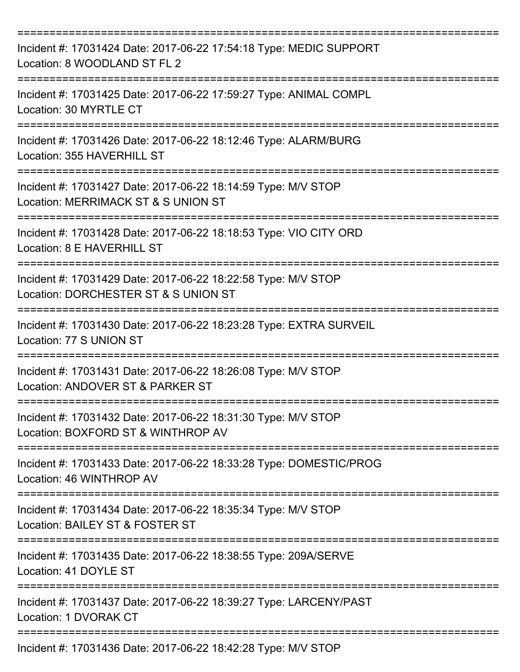| Incident #: 17031424 Date: 2017-06-22 17:54:18 Type: MEDIC SUPPORT<br>Location: 8 WOODLAND ST FL 2                                 |
|------------------------------------------------------------------------------------------------------------------------------------|
| Incident #: 17031425 Date: 2017-06-22 17:59:27 Type: ANIMAL COMPL<br>Location: 30 MYRTLE CT                                        |
| Incident #: 17031426 Date: 2017-06-22 18:12:46 Type: ALARM/BURG<br>Location: 355 HAVERHILL ST                                      |
| Incident #: 17031427 Date: 2017-06-22 18:14:59 Type: M/V STOP<br>Location: MERRIMACK ST & S UNION ST                               |
| Incident #: 17031428 Date: 2017-06-22 18:18:53 Type: VIO CITY ORD<br>Location: 8 E HAVERHILL ST<br>=============================== |
| Incident #: 17031429 Date: 2017-06-22 18:22:58 Type: M/V STOP<br>Location: DORCHESTER ST & S UNION ST                              |
| Incident #: 17031430 Date: 2017-06-22 18:23:28 Type: EXTRA SURVEIL<br>Location: 77 S UNION ST                                      |
| Incident #: 17031431 Date: 2017-06-22 18:26:08 Type: M/V STOP<br>Location: ANDOVER ST & PARKER ST                                  |
| Incident #: 17031432 Date: 2017-06-22 18:31:30 Type: M/V STOP<br>Location: BOXFORD ST & WINTHROP AV                                |
| Incident #: 17031433 Date: 2017-06-22 18:33:28 Type: DOMESTIC/PROG<br>Location: 46 WINTHROP AV                                     |
| Incident #: 17031434 Date: 2017-06-22 18:35:34 Type: M/V STOP<br>Location: BAILEY ST & FOSTER ST                                   |
| Incident #: 17031435 Date: 2017-06-22 18:38:55 Type: 209A/SERVE<br>Location: 41 DOYLE ST                                           |
| Incident #: 17031437 Date: 2017-06-22 18:39:27 Type: LARCENY/PAST<br>Location: 1 DVORAK CT                                         |
| Incident #: 17031436 Date: 2017-06-22 18:42:28 Type: M/V STOP                                                                      |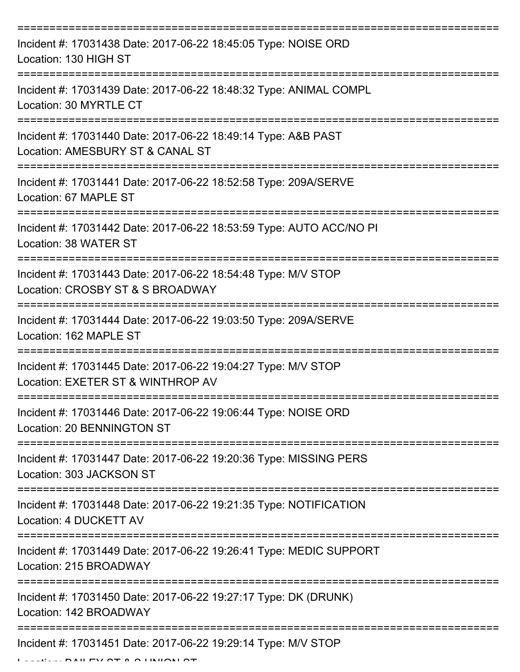| Incident #: 17031438 Date: 2017-06-22 18:45:05 Type: NOISE ORD<br>Location: 130 HIGH ST                                   |
|---------------------------------------------------------------------------------------------------------------------------|
| Incident #: 17031439 Date: 2017-06-22 18:48:32 Type: ANIMAL COMPL<br>Location: 30 MYRTLE CT                               |
| Incident #: 17031440 Date: 2017-06-22 18:49:14 Type: A&B PAST<br>Location: AMESBURY ST & CANAL ST                         |
| Incident #: 17031441 Date: 2017-06-22 18:52:58 Type: 209A/SERVE<br>Location: 67 MAPLE ST                                  |
| Incident #: 17031442 Date: 2017-06-22 18:53:59 Type: AUTO ACC/NO PI<br>Location: 38 WATER ST<br>========================= |
| Incident #: 17031443 Date: 2017-06-22 18:54:48 Type: M/V STOP<br>Location: CROSBY ST & S BROADWAY                         |
| Incident #: 17031444 Date: 2017-06-22 19:03:50 Type: 209A/SERVE<br>Location: 162 MAPLE ST                                 |
| Incident #: 17031445 Date: 2017-06-22 19:04:27 Type: M/V STOP<br>Location: EXETER ST & WINTHROP AV                        |
| Incident #: 17031446 Date: 2017-06-22 19:06:44 Type: NOISE ORD<br>Location: 20 BENNINGTON ST                              |
| Incident #: 17031447 Date: 2017-06-22 19:20:36 Type: MISSING PERS<br>Location: 303 JACKSON ST                             |
| Incident #: 17031448 Date: 2017-06-22 19:21:35 Type: NOTIFICATION<br>Location: 4 DUCKETT AV                               |
| Incident #: 17031449 Date: 2017-06-22 19:26:41 Type: MEDIC SUPPORT<br>Location: 215 BROADWAY                              |
| Incident #: 17031450 Date: 2017-06-22 19:27:17 Type: DK (DRUNK)<br>Location: 142 BROADWAY                                 |
| Incident #: 17031451 Date: 2017-06-22 19:29:14 Type: M/V STOP                                                             |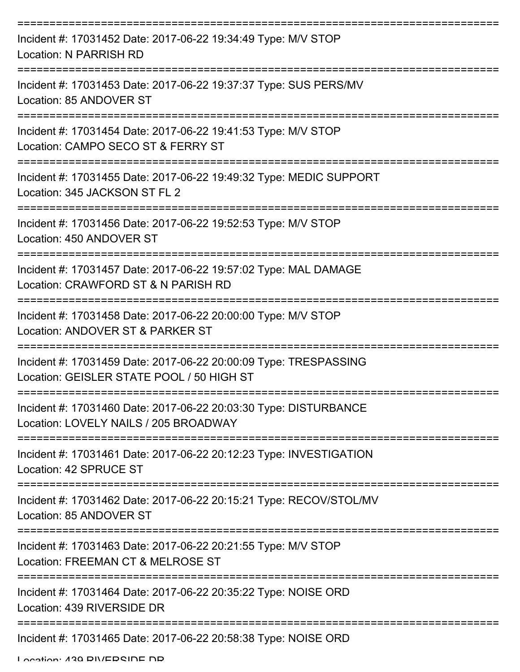| Incident #: 17031452 Date: 2017-06-22 19:34:49 Type: M/V STOP<br><b>Location: N PARRISH RD</b>                |
|---------------------------------------------------------------------------------------------------------------|
| Incident #: 17031453 Date: 2017-06-22 19:37:37 Type: SUS PERS/MV<br>Location: 85 ANDOVER ST                   |
| Incident #: 17031454 Date: 2017-06-22 19:41:53 Type: M/V STOP<br>Location: CAMPO SECO ST & FERRY ST           |
| Incident #: 17031455 Date: 2017-06-22 19:49:32 Type: MEDIC SUPPORT<br>Location: 345 JACKSON ST FL 2           |
| :=============<br>Incident #: 17031456 Date: 2017-06-22 19:52:53 Type: M/V STOP<br>Location: 450 ANDOVER ST   |
| Incident #: 17031457 Date: 2017-06-22 19:57:02 Type: MAL DAMAGE<br>Location: CRAWFORD ST & N PARISH RD        |
| Incident #: 17031458 Date: 2017-06-22 20:00:00 Type: M/V STOP<br>Location: ANDOVER ST & PARKER ST             |
| Incident #: 17031459 Date: 2017-06-22 20:00:09 Type: TRESPASSING<br>Location: GEISLER STATE POOL / 50 HIGH ST |
| Incident #: 17031460 Date: 2017-06-22 20:03:30 Type: DISTURBANCE<br>Location: LOVELY NAILS / 205 BROADWAY     |
| Incident #: 17031461 Date: 2017-06-22 20:12:23 Type: INVESTIGATION<br>Location: 42 SPRUCE ST                  |
| Incident #: 17031462 Date: 2017-06-22 20:15:21 Type: RECOV/STOL/MV<br>Location: 85 ANDOVER ST                 |
| Incident #: 17031463 Date: 2017-06-22 20:21:55 Type: M/V STOP<br>Location: FREEMAN CT & MELROSE ST            |
| Incident #: 17031464 Date: 2017-06-22 20:35:22 Type: NOISE ORD<br>Location: 439 RIVERSIDE DR                  |
| Incident #: 17031465 Date: 2017-06-22 20:58:38 Type: NOISE ORD                                                |

Location: 439 RIVERSIDE DR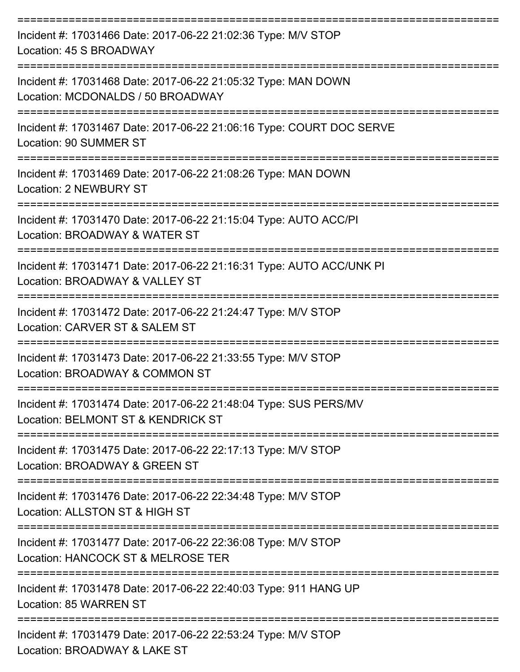| Incident #: 17031466 Date: 2017-06-22 21:02:36 Type: M/V STOP<br>Location: 45 S BROADWAY               |
|--------------------------------------------------------------------------------------------------------|
| Incident #: 17031468 Date: 2017-06-22 21:05:32 Type: MAN DOWN<br>Location: MCDONALDS / 50 BROADWAY     |
| Incident #: 17031467 Date: 2017-06-22 21:06:16 Type: COURT DOC SERVE<br><b>Location: 90 SUMMER ST</b>  |
| Incident #: 17031469 Date: 2017-06-22 21:08:26 Type: MAN DOWN<br>Location: 2 NEWBURY ST                |
| Incident #: 17031470 Date: 2017-06-22 21:15:04 Type: AUTO ACC/PI<br>Location: BROADWAY & WATER ST      |
| Incident #: 17031471 Date: 2017-06-22 21:16:31 Type: AUTO ACC/UNK PI<br>Location: BROADWAY & VALLEY ST |
| Incident #: 17031472 Date: 2017-06-22 21:24:47 Type: M/V STOP<br>Location: CARVER ST & SALEM ST        |
| Incident #: 17031473 Date: 2017-06-22 21:33:55 Type: M/V STOP<br>Location: BROADWAY & COMMON ST        |
| Incident #: 17031474 Date: 2017-06-22 21:48:04 Type: SUS PERS/MV<br>Location: BELMONT ST & KENDRICK ST |
| Incident #: 17031475 Date: 2017-06-22 22:17:13 Type: M/V STOP<br>Location: BROADWAY & GREEN ST         |
| Incident #: 17031476 Date: 2017-06-22 22:34:48 Type: M/V STOP<br>Location: ALLSTON ST & HIGH ST        |
| Incident #: 17031477 Date: 2017-06-22 22:36:08 Type: M/V STOP<br>Location: HANCOCK ST & MELROSE TER    |
| Incident #: 17031478 Date: 2017-06-22 22:40:03 Type: 911 HANG UP<br>Location: 85 WARREN ST             |
| Incident #: 17031479 Date: 2017-06-22 22:53:24 Type: M/V STOP<br>Location: BROADWAY & LAKE ST          |